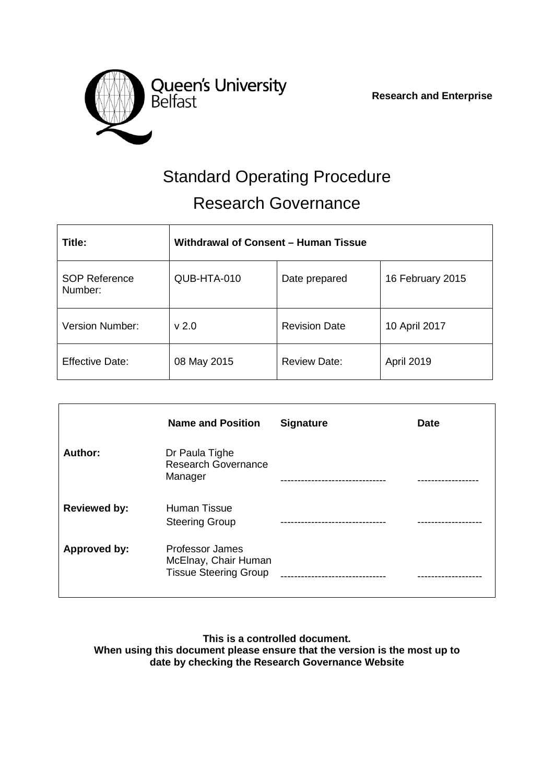

 **Research and Enterprise**

# Standard Operating Procedure Research Governance

| Title:                          | Withdrawal of Consent - Human Tissue |                      |                   |  |
|---------------------------------|--------------------------------------|----------------------|-------------------|--|
| <b>SOP Reference</b><br>Number: | QUB-HTA-010                          | Date prepared        | 16 February 2015  |  |
| <b>Version Number:</b>          | v <sub>2.0</sub>                     | <b>Revision Date</b> | 10 April 2017     |  |
| <b>Effective Date:</b>          | 08 May 2015                          | <b>Review Date:</b>  | <b>April 2019</b> |  |

|                     | <b>Name and Position</b>                                                | <b>Signature</b>                 | <b>Date</b> |
|---------------------|-------------------------------------------------------------------------|----------------------------------|-------------|
| Author:             | Dr Paula Tighe<br><b>Research Governance</b><br>Manager                 |                                  | ----------  |
| <b>Reviewed by:</b> | <b>Human Tissue</b><br><b>Steering Group</b>                            |                                  |             |
| Approved by:        | Professor James<br>McElnay, Chair Human<br><b>Tissue Steering Group</b> | -------------------------------- |             |

**This is a controlled document. When using this document please ensure that the version is the most up to date by checking the Research Governance Website**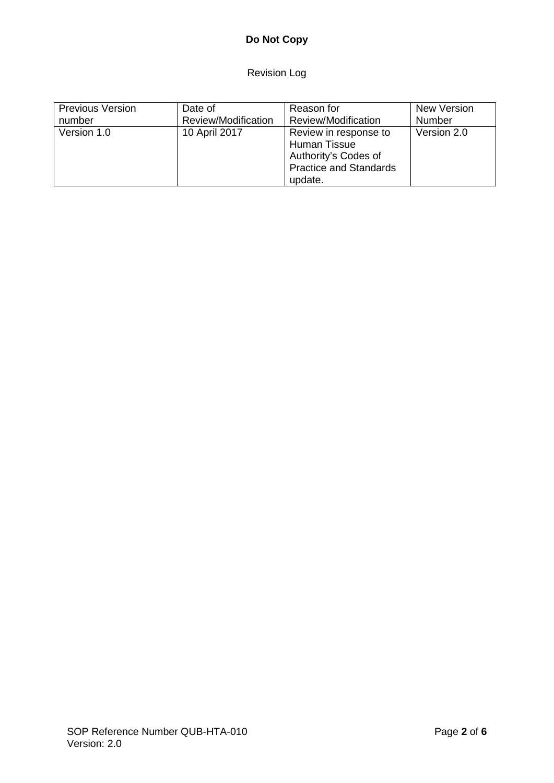# **Do Not Copy**

Revision Log

| <b>Previous Version</b> | Date of             | Reason for                    | New Version |
|-------------------------|---------------------|-------------------------------|-------------|
| number                  | Review/Modification | Review/Modification           | Number      |
| Version 1.0             | 10 April 2017       | Review in response to         | Version 2.0 |
|                         |                     | Human Tissue                  |             |
|                         |                     | Authority's Codes of          |             |
|                         |                     | <b>Practice and Standards</b> |             |
|                         |                     | update.                       |             |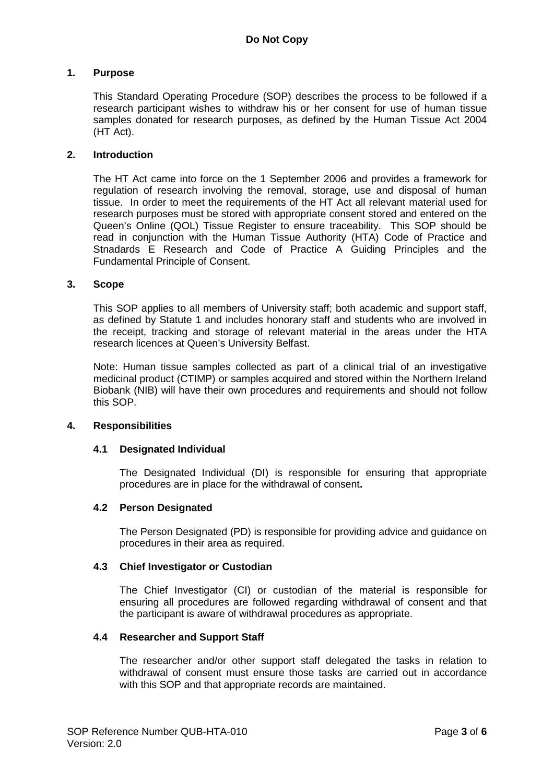# **1. Purpose**

This Standard Operating Procedure (SOP) describes the process to be followed if a research participant wishes to withdraw his or her consent for use of human tissue samples donated for research purposes, as defined by the Human Tissue Act 2004 (HT Act).

#### **2. Introduction**

The HT Act came into force on the 1 September 2006 and provides a framework for regulation of research involving the removal, storage, use and disposal of human tissue. In order to meet the requirements of the HT Act all relevant material used for research purposes must be stored with appropriate consent stored and entered on the Queen's Online (QOL) Tissue Register to ensure traceability. This SOP should be read in conjunction with the Human Tissue Authority (HTA) Code of Practice and Stnadards E Research and Code of Practice A Guiding Principles and the Fundamental Principle of Consent.

# **3. Scope**

This SOP applies to all members of University staff; both academic and support staff, as defined by Statute 1 and includes honorary staff and students who are involved in the receipt, tracking and storage of relevant material in the areas under the HTA research licences at Queen's University Belfast.

Note: Human tissue samples collected as part of a clinical trial of an investigative medicinal product (CTIMP) or samples acquired and stored within the Northern Ireland Biobank (NIB) will have their own procedures and requirements and should not follow this SOP.

#### **4. Responsibilities**

# **4.1 Designated Individual**

The Designated Individual (DI) is responsible for ensuring that appropriate procedures are in place for the withdrawal of consent**.**

# **4.2 Person Designated**

The Person Designated (PD) is responsible for providing advice and guidance on procedures in their area as required.

#### **4.3 Chief Investigator or Custodian**

The Chief Investigator (CI) or custodian of the material is responsible for ensuring all procedures are followed regarding withdrawal of consent and that the participant is aware of withdrawal procedures as appropriate.

#### **4.4 Researcher and Support Staff**

The researcher and/or other support staff delegated the tasks in relation to withdrawal of consent must ensure those tasks are carried out in accordance with this SOP and that appropriate records are maintained.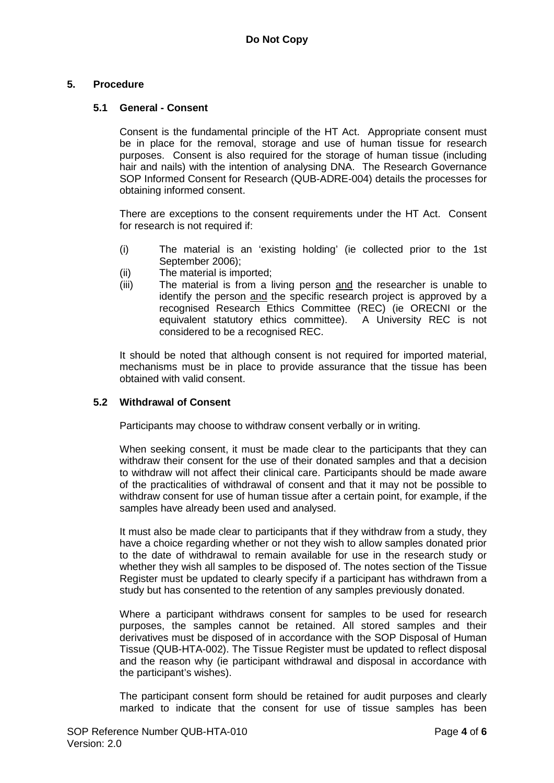# **5. Procedure**

# **5.1 General - Consent**

Consent is the fundamental principle of the HT Act. Appropriate consent must be in place for the removal, storage and use of human tissue for research purposes. Consent is also required for the storage of human tissue (including hair and nails) with the intention of analysing DNA. The Research Governance SOP Informed Consent for Research (QUB-ADRE-004) details the processes for obtaining informed consent.

There are exceptions to the consent requirements under the HT Act. Consent for research is not required if:

- (i) The material is an 'existing holding' (ie collected prior to the 1st September 2006);
- (ii) The material is imported;
- (iii) The material is from a living person and the researcher is unable to identify the person and the specific research project is approved by a recognised Research Ethics Committee (REC) (ie ORECNI or the equivalent statutory ethics committee). A University REC is not considered to be a recognised REC.

It should be noted that although consent is not required for imported material, mechanisms must be in place to provide assurance that the tissue has been obtained with valid consent.

#### **5.2 Withdrawal of Consent**

Participants may choose to withdraw consent verbally or in writing.

When seeking consent, it must be made clear to the participants that they can withdraw their consent for the use of their donated samples and that a decision to withdraw will not affect their clinical care. Participants should be made aware of the practicalities of withdrawal of consent and that it may not be possible to withdraw consent for use of human tissue after a certain point, for example, if the samples have already been used and analysed.

It must also be made clear to participants that if they withdraw from a study, they have a choice regarding whether or not they wish to allow samples donated prior to the date of withdrawal to remain available for use in the research study or whether they wish all samples to be disposed of. The notes section of the Tissue Register must be updated to clearly specify if a participant has withdrawn from a study but has consented to the retention of any samples previously donated.

Where a participant withdraws consent for samples to be used for research purposes, the samples cannot be retained. All stored samples and their derivatives must be disposed of in accordance with the SOP Disposal of Human Tissue (QUB-HTA-002). The Tissue Register must be updated to reflect disposal and the reason why (ie participant withdrawal and disposal in accordance with the participant's wishes).

The participant consent form should be retained for audit purposes and clearly marked to indicate that the consent for use of tissue samples has been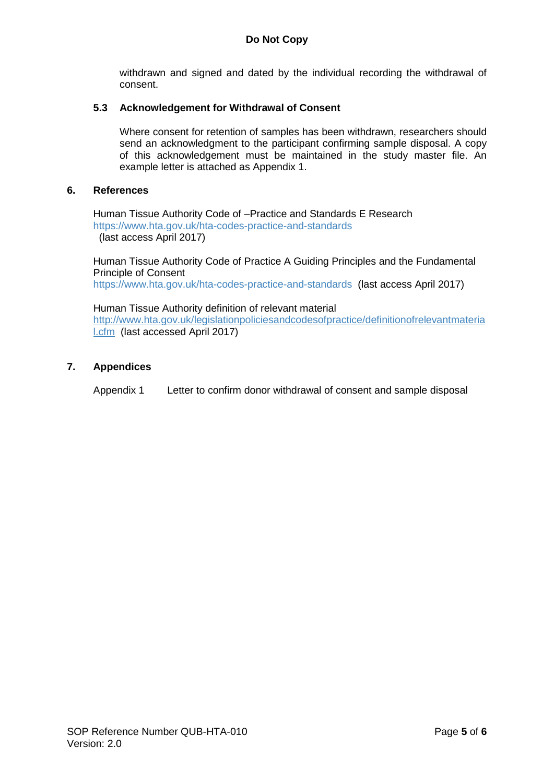withdrawn and signed and dated by the individual recording the withdrawal of consent.

# **5.3 Acknowledgement for Withdrawal of Consent**

Where consent for retention of samples has been withdrawn, researchers should send an acknowledgment to the participant confirming sample disposal. A copy of this acknowledgement must be maintained in the study master file. An example letter is attached as Appendix 1.

# **6. References**

Human Tissue Authority Code of –Practice and Standards E Research <https://www.hta.gov.uk/hta-codes-practice-and-standards> (last access April 2017)

Human Tissue Authority Code of Practice A Guiding Principles and the Fundamental Principle of Consent

<https://www.hta.gov.uk/hta-codes-practice-and-standards> (last access April 2017)

Human Tissue Authority definition of relevant material [http://www.hta.gov.uk/legislationpoliciesandcodesofpractice/definitionofrelevantmateria](http://www.hta.gov.uk/legislationpoliciesandcodesofpractice/definitionofrelevantmaterial.cfm) [l.cfm](http://www.hta.gov.uk/legislationpoliciesandcodesofpractice/definitionofrelevantmaterial.cfm) (last accessed April 2017)

# **7. Appendices**

Appendix 1 Letter to confirm donor withdrawal of consent and sample disposal